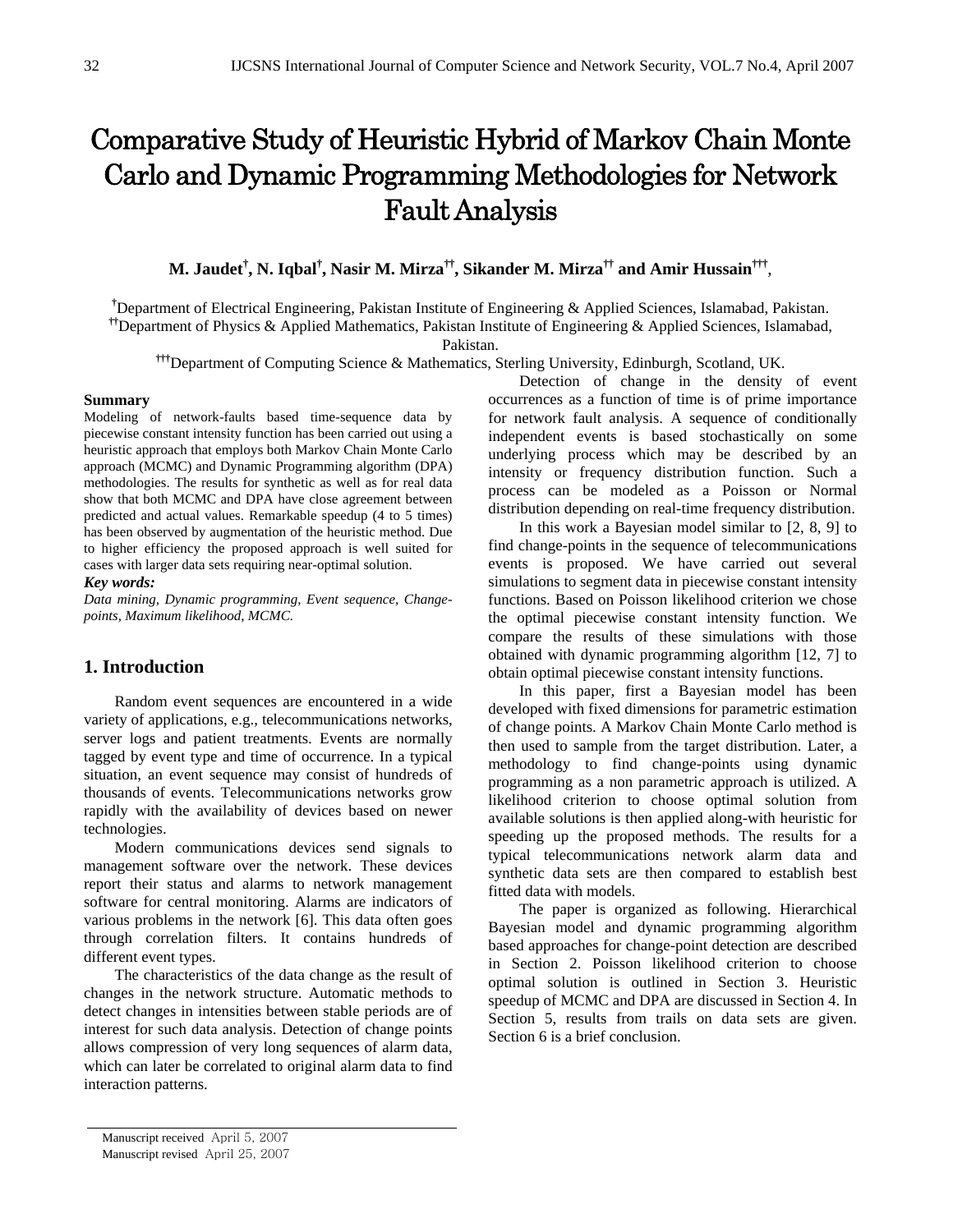# Comparative Study of Heuristic Hybrid of Markov Chain Monte Carlo and Dynamic Programming Methodologies for Network Fault Analysis

**M. Jaudet† , N. Iqbal† , Nasir M. Mirza††, Sikander M. Mirza†† and Amir Hussain†††**,

<sup>†</sup>Department of Electrical Engineering, Pakistan Institute of Engineering & Applied Sciences, Islamabad, Pakistan.

**††**Department of Physics & Applied Mathematics, Pakistan Institute of Engineering & Applied Sciences, Islamabad,

Pakistan.

**†††**Department of Computing Science & Mathematics, Sterling University, Edinburgh, Scotland, UK.

## **Summary**

Modeling of network-faults based time-sequence data by piecewise constant intensity function has been carried out using a heuristic approach that employs both Markov Chain Monte Carlo approach (MCMC) and Dynamic Programming algorithm (DPA) methodologies. The results for synthetic as well as for real data show that both MCMC and DPA have close agreement between predicted and actual values. Remarkable speedup (4 to 5 times) has been observed by augmentation of the heuristic method. Due to higher efficiency the proposed approach is well suited for cases with larger data sets requiring near-optimal solution.

#### *Key words:*

*Data mining, Dynamic programming, Event sequence, Changepoints, Maximum likelihood, MCMC.* 

## **1. Introduction**

Random event sequences are encountered in a wide variety of applications, e.g., telecommunications networks, server logs and patient treatments. Events are normally tagged by event type and time of occurrence. In a typical situation, an event sequence may consist of hundreds of thousands of events. Telecommunications networks grow rapidly with the availability of devices based on newer technologies.

Modern communications devices send signals to management software over the network. These devices report their status and alarms to network management software for central monitoring. Alarms are indicators of various problems in the network [6]. This data often goes through correlation filters. It contains hundreds of different event types.

The characteristics of the data change as the result of changes in the network structure. Automatic methods to detect changes in intensities between stable periods are of interest for such data analysis. Detection of change points allows compression of very long sequences of alarm data, which can later be correlated to original alarm data to find interaction patterns.

Detection of change in the density of event occurrences as a function of time is of prime importance for network fault analysis. A sequence of conditionally independent events is based stochastically on some underlying process which may be described by an intensity or frequency distribution function. Such a process can be modeled as a Poisson or Normal distribution depending on real-time frequency distribution.

In this work a Bayesian model similar to [2, 8, 9] to find change-points in the sequence of telecommunications events is proposed. We have carried out several simulations to segment data in piecewise constant intensity functions. Based on Poisson likelihood criterion we chose the optimal piecewise constant intensity function. We compare the results of these simulations with those obtained with dynamic programming algorithm [12, 7] to obtain optimal piecewise constant intensity functions.

In this paper, first a Bayesian model has been developed with fixed dimensions for parametric estimation of change points. A Markov Chain Monte Carlo method is then used to sample from the target distribution. Later, a methodology to find change-points using dynamic programming as a non parametric approach is utilized. A likelihood criterion to choose optimal solution from available solutions is then applied along-with heuristic for speeding up the proposed methods. The results for a typical telecommunications network alarm data and synthetic data sets are then compared to establish best fitted data with models.

The paper is organized as following. Hierarchical Bayesian model and dynamic programming algorithm based approaches for change-point detection are described in Section 2. Poisson likelihood criterion to choose optimal solution is outlined in Section 3. Heuristic speedup of MCMC and DPA are discussed in Section 4. In Section 5, results from trails on data sets are given. Section 6 is a brief conclusion.

Manuscript received April 5, 2007

Manuscript revised April 25, 2007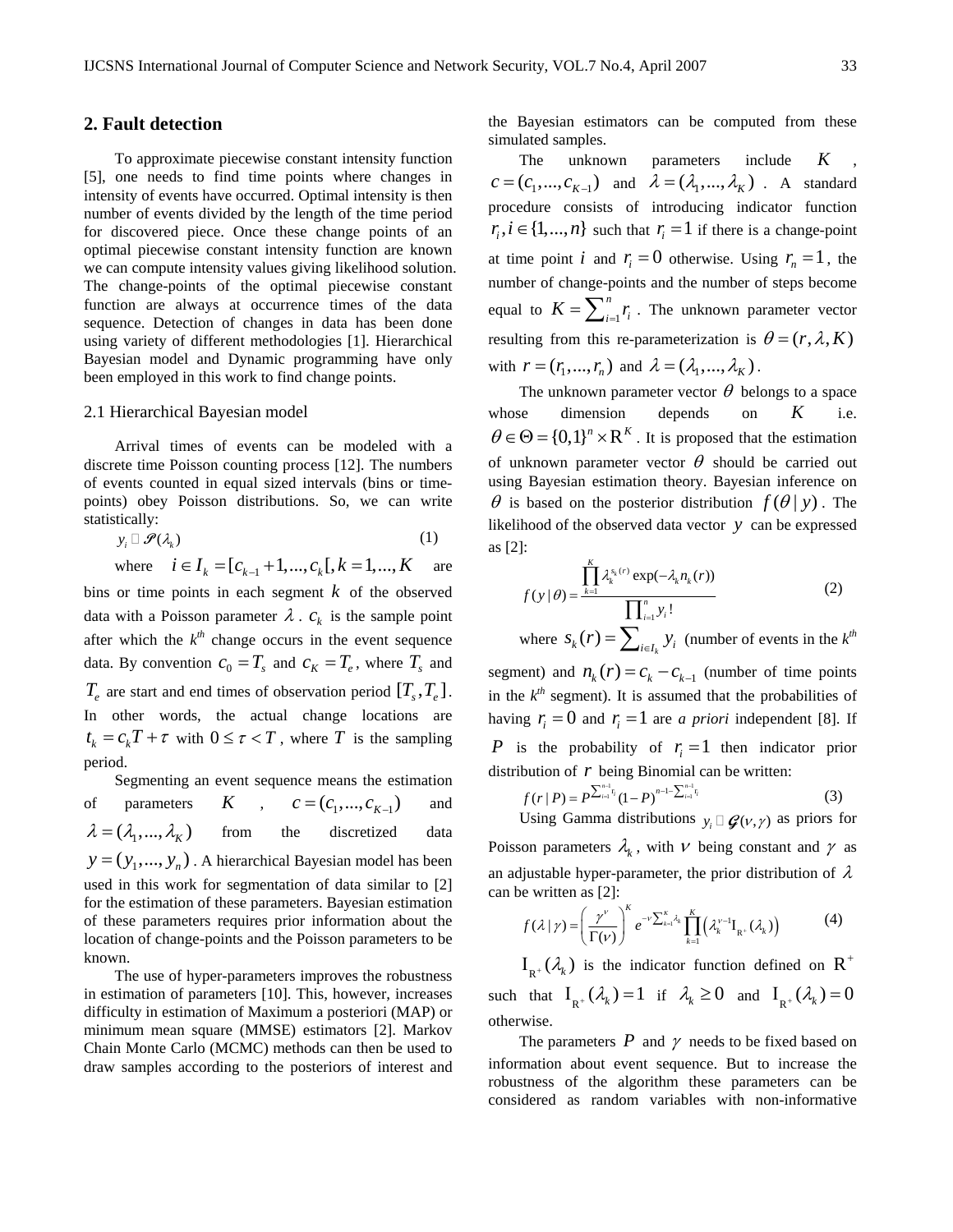## **2. Fault detection**

To approximate piecewise constant intensity function [5], one needs to find time points where changes in intensity of events have occurred. Optimal intensity is then number of events divided by the length of the time period for discovered piece. Once these change points of an optimal piecewise constant intensity function are known we can compute intensity values giving likelihood solution. The change-points of the optimal piecewise constant function are always at occurrence times of the data sequence. Detection of changes in data has been done using variety of different methodologies [1]. Hierarchical Bayesian model and Dynamic programming have only been employed in this work to find change points.

## 2.1 Hierarchical Bayesian model

Arrival times of events can be modeled with a discrete time Poisson counting process [12]. The numbers of events counted in equal sized intervals (bins or timepoints) obey Poisson distributions. So, we can write statistically:

$$
y_i \sqcup \mathscr{P}(\lambda_k) \tag{1}
$$

where  $i \in I_k = [c_{k-1} + 1, ..., c_k], k = 1, ..., K$  are bins or time points in each segment *k* of the observed data with a Poisson parameter  $\lambda$ .  $c_k$  is the sample point after which the  $k^{th}$  change occurs in the event sequence data. By convention  $c_0 = T_s$  and  $c_K = T_e$ , where  $T_s$  and  $T_e$  are start and end times of observation period  $[T_s, T_e]$ . In other words, the actual change locations are  $t_k = c_kT + \tau$  with  $0 \le \tau < T$ , where *T* is the sampling period.

Segmenting an event sequence means the estimation of parameters  $K$  ,  $c = (c_1, ..., c_{K-1})$  and  $\lambda = (\lambda_1, ..., \lambda_k)$  from the discretized data  $y = (y_1, ..., y_n)$ . A hierarchical Bayesian model has been used in this work for segmentation of data similar to [2] for the estimation of these parameters. Bayesian estimation of these parameters requires prior information about the location of change-points and the Poisson parameters to be known.

The use of hyper-parameters improves the robustness in estimation of parameters [10]. This, however, increases difficulty in estimation of Maximum a posteriori (MAP) or minimum mean square (MMSE) estimators [2]. Markov Chain Monte Carlo (MCMC) methods can then be used to draw samples according to the posteriors of interest and the Bayesian estimators can be computed from these simulated samples.

The unknown parameters include K  $c = (c_1, ..., c_{K-1})$  and  $\lambda = (\lambda_1, ..., \lambda_K)$ . A standard procedure consists of introducing indicator function  $r_i, i \in \{1, ..., n\}$  such that  $r_i = 1$  if there is a change-point at time point *i* and  $r_i = 0$  otherwise. Using  $r_n = 1$ , the number of change-points and the number of steps become equal to  $K = \sum_{i=1}^{n}$  $K = \sum_{i=1}^{n} r_i$ . The unknown parameter vector resulting from this re-parameterization is  $\theta = (r, \lambda, K)$ with  $r = (r_1, ..., r_n)$  and  $\lambda = (\lambda_1, ..., \lambda_K)$ .

The unknown parameter vector  $\theta$  belongs to a space whose dimension depends on  $K$  $\theta \in \Theta = \{0,1\}^n \times \mathbb{R}^K$ . It is proposed that the estimation of unknown parameter vector  $\theta$  should be carried out using Bayesian estimation theory. Bayesian inference on  $\theta$  is based on the posterior distribution  $f(\theta | y)$ . The likelihood of the observed data vector  $y$  can be expressed as [2]:

$$
f(y | \theta) = \frac{\prod_{k=1}^{K} \lambda_k^{s_k(r)} \exp(-\lambda_k n_k(r))}{\prod_{i=1}^{n} y_i!}
$$
 (2)

where  $S_k(r) = \sum_{i \in I_k} y_i$  (number of events in the  $k^{th}$ segment) and  $n_k(r) = c_k - c_{k-1}$  (number of time points in the  $k^{th}$  segment). It is assumed that the probabilities of

having  $r_i = 0$  and  $r_i = 1$  are *a priori* independent [8]. If P is the probability of  $r_i = 1$  then indicator prior distribution of  $r$  being Binomial can be written:

$$
f(r | P) = P^{\sum_{i=1}^{n-1} r_i} (1 - P)^{n-1 - \sum_{i=1}^{n-1} r_i}
$$
 (3)

Using Gamma distributions  $y_i \square \mathcal{G}(v, \gamma)$  as priors for Poisson parameters  $\lambda_k$ , with  $\nu$  being constant and  $\gamma$  as an adjustable hyper-parameter, the prior distribution of  $\lambda$ can be written as [2]:

$$
f(\lambda \mid \gamma) = \left(\frac{\gamma^{\nu}}{\Gamma(\nu)}\right)^{K} e^{-\nu \sum_{k=1}^{K} \lambda_{k}} \prod_{k=1}^{K} \left(\lambda_{k}^{\nu-1} I_{R^{+}}(\lambda_{k})\right)
$$
(4)

 $I_{R^+}(\lambda_k)$  is the indicator function defined on R<sup>+</sup> such that  $I_{R^+}(\lambda_k) = 1$  if  $\lambda_k \ge 0$  and  $I_{R^+}(\lambda_k) = 0$ otherwise.

The parameters  $P$  and  $\gamma$  needs to be fixed based on information about event sequence. But to increase the robustness of the algorithm these parameters can be considered as random variables with non-informative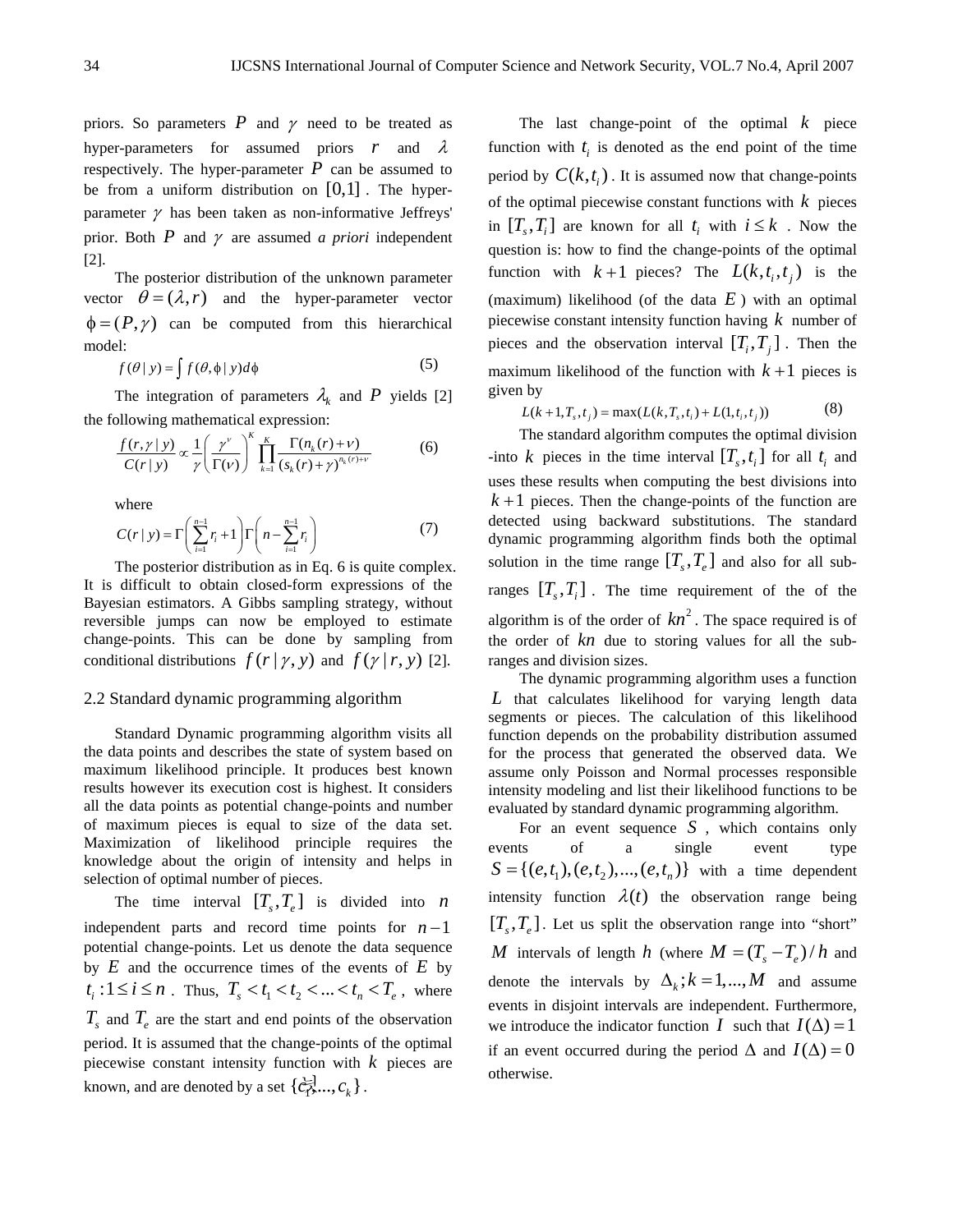priors. So parameters  $P$  and  $\gamma$  need to be treated as hyper-parameters for assumed priors *r* and <sup>λ</sup> respectively. The hyper-parameter  $P$  can be assumed to be from a uniform distribution on  $[0,1]$ . The hyperparameter  $\gamma$  has been taken as non-informative Jeffreys' prior. Both  $P$  and  $\gamma$  are assumed *a priori* independent [2].

The posterior distribution of the unknown parameter vector  $\theta = (\lambda, r)$  and the hyper-parameter vector  $\phi = (P, \gamma)$  can be computed from this hierarchical model:

$$
f(\theta \mid y) = \int f(\theta, \phi \mid y) d\phi \tag{5}
$$

The integration of parameters  $\lambda_k$  and P yields [2] the following mathematical expression:

$$
\frac{f(r,\gamma \mid y)}{C(r \mid y)} \propto \frac{1}{\gamma} \left( \frac{\gamma^{\nu}}{\Gamma(\nu)} \right)^{K} \prod_{k=1}^{K} \frac{\Gamma(n_k(r) + \nu)}{(s_k(r) + \gamma)^{n_k(r) + \nu}}
$$
(6)

where

$$
C(r \mid y) = \Gamma\left(\sum_{i=1}^{n-1} r_i + 1\right) \Gamma\left(n - \sum_{i=1}^{n-1} r_i\right) \tag{7}
$$

The posterior distribution as in Eq. 6 is quite complex. It is difficult to obtain closed-form expressions of the Bayesian estimators. A Gibbs sampling strategy, without reversible jumps can now be employed to estimate change-points. This can be done by sampling from conditional distributions  $f(r | y, y)$  and  $f(y | r, y)$  [2].

## 2.2 Standard dynamic programming algorithm

Standard Dynamic programming algorithm visits all the data points and describes the state of system based on maximum likelihood principle. It produces best known results however its execution cost is highest. It considers all the data points as potential change-points and number of maximum pieces is equal to size of the data set. Maximization of likelihood principle requires the knowledge about the origin of intensity and helps in selection of optimal number of pieces.

The time interval  $[T_s, T_e]$  is divided into *n* independent parts and record time points for  $n-1$ potential change-points. Let us denote the data sequence by  $E$  and the occurrence times of the events of  $E$  by  $t_i: 1 \le i \le n$ . Thus,  $T_s < t_1 < t_2 < ... < t_n < T_e$ , where  $T_s$  and  $T_e$  are the start and end points of the observation period. It is assumed that the change-points of the optimal piecewise constant intensity function with *k* pieces are known, and are denoted by a set  $\{\vec{c}_1, \vec{c}_2, \ldots, \vec{c}_k\}$ .

The last change-point of the optimal *k* piece function with  $t_i$  is denoted as the end point of the time period by  $C(k, t_i)$ . It is assumed now that change-points of the optimal piecewise constant functions with *k* pieces in  $[T_s, T_i]$  are known for all  $t_i$  with  $i \leq k$ . Now the question is: how to find the change-points of the optimal function with  $k+1$  pieces? The  $L(k, t_i, t_j)$  is the (maximum) likelihood (of the data  $E$ ) with an optimal piecewise constant intensity function having *k* number of pieces and the observation interval  $[T_i, T_j]$ . Then the maximum likelihood of the function with  $k+1$  pieces is given by

$$
L(k+1, T_s, t_j) = \max(L(k, T_s, t_i) + L(1, t_i, t_j))
$$
\n(8)

The standard algorithm computes the optimal division -into *k* pieces in the time interval  $[T_s, t_i]$  for all  $t_i$  and uses these results when computing the best divisions into  $k+1$  pieces. Then the change-points of the function are detected using backward substitutions. The standard dynamic programming algorithm finds both the optimal solution in the time range  $[T_s, T_e]$  and also for all subranges  $[T_s, T_i]$ . The time requirement of the of the algorithm is of the order of  $kn^2$ . The space required is of the order of *kn* due to storing values for all the subranges and division sizes.

The dynamic programming algorithm uses a function *L* that calculates likelihood for varying length data segments or pieces. The calculation of this likelihood function depends on the probability distribution assumed for the process that generated the observed data. We assume only Poisson and Normal processes responsible intensity modeling and list their likelihood functions to be evaluated by standard dynamic programming algorithm.

For an event sequence *S* , which contains only events of a single event type  $S = \{ (e, t_1), (e, t_2), ..., (e, t_n) \}$  with a time dependent intensity function  $\lambda(t)$  the observation range being  $[T_s, T_e]$ . Let us split the observation range into "short" *M* intervals of length *h* (where  $M = (T_s - T_e)/h$  and denote the intervals by  $\Delta_k$ ;  $k = 1,..., M$  and assume events in disjoint intervals are independent. Furthermore, we introduce the indicator function *I* such that  $I(\Delta) = 1$ if an event occurred during the period  $\Delta$  and  $I(\Delta) = 0$ otherwise.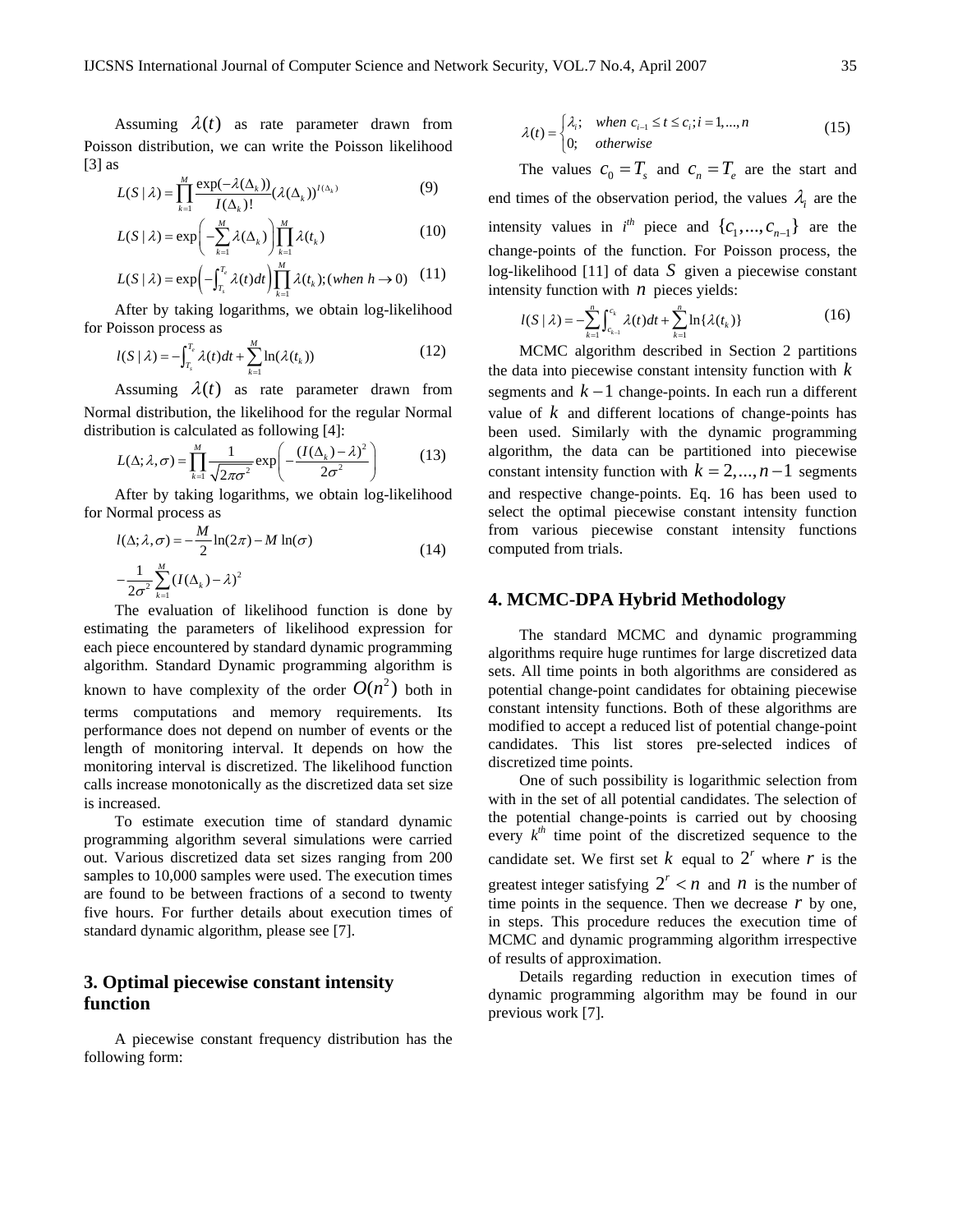Assuming  $\lambda(t)$  as rate parameter drawn from Poisson distribution, we can write the Poisson likelihood  $[3]$  as

$$
L(S | \lambda) = \prod_{k=1}^{M} \frac{\exp(-\lambda(\Delta_k))}{I(\Delta_k)!} (\lambda(\Delta_k))^{I(\Delta_k)}
$$
(9)

$$
L(S \mid \lambda) = \exp\left(-\sum_{k=1}^{M} \lambda(\Delta_k)\right) \prod_{k=1}^{M} \lambda(t_k)
$$
 (10)

$$
L(S | \lambda) = \exp\left(-\int_{T_s}^{T_e} \lambda(t)dt\right) \prod_{k=1}^M \lambda(t_k); (when \ h \to 0) \quad (11)
$$

After by taking logarithms, we obtain log-likelihood for Poisson process as

$$
l(S \mid \lambda) = -\int_{T_s}^{T_e} \lambda(t)dt + \sum_{k=1}^{M} \ln(\lambda(t_k))
$$
\n(12)

Assuming  $\lambda(t)$  as rate parameter drawn from Normal distribution, the likelihood for the regular Normal distribution is calculated as following [4]: 2

$$
L(\Delta; \lambda, \sigma) = \prod_{k=1}^{M} \frac{1}{\sqrt{2\pi\sigma^2}} \exp\left(-\frac{(I(\Delta_k) - \lambda)^2}{2\sigma^2}\right)
$$
(13)

After by taking logarithms, we obtain log-likelihood for Normal process as

$$
l(\Delta; \lambda, \sigma) = -\frac{M}{2} \ln(2\pi) - M \ln(\sigma)
$$
  

$$
-\frac{1}{2\sigma^2} \sum_{k=1}^{M} (I(\Delta_k) - \lambda)^2
$$
 (14)

The evaluation of likelihood function is done by estimating the parameters of likelihood expression for each piece encountered by standard dynamic programming algorithm. Standard Dynamic programming algorithm is known to have complexity of the order  $O(n^2)$  both in terms computations and memory requirements. Its performance does not depend on number of events or the length of monitoring interval. It depends on how the monitoring interval is discretized. The likelihood function calls increase monotonically as the discretized data set size is increased.

To estimate execution time of standard dynamic programming algorithm several simulations were carried out. Various discretized data set sizes ranging from 200 samples to 10,000 samples were used. The execution times are found to be between fractions of a second to twenty five hours. For further details about execution times of standard dynamic algorithm, please see [7].

# **3. Optimal piecewise constant intensity function**

A piecewise constant frequency distribution has the following form:

$$
\lambda(t) = \begin{cases} \lambda_i; & \text{when } c_{i-1} \le t \le c_i; i = 1, ..., n \\ 0; & \text{otherwise} \end{cases}
$$
(15)

The values  $c_0 = T_s$  and  $c_n = T_e$  are the start and end times of the observation period, the values  $\lambda_i$  are the intensity values in  $i^{th}$  piece and  $\{c_1, ..., c_{n-1}\}$  are the change-points of the function. For Poisson process, the log-likelihood [11] of data *S* given a piecewise constant intensity function with  $n$  pieces yields:

$$
l(S | \lambda) = -\sum_{k=1}^{n} \int_{c_{k-1}}^{c_k} \lambda(t)dt + \sum_{k=1}^{n} \ln\{\lambda(t_k)\}\tag{16}
$$

MCMC algorithm described in Section 2 partitions the data into piecewise constant intensity function with *k* segments and *k* −1 change-points. In each run a different value of *k* and different locations of change-points has been used. Similarly with the dynamic programming algorithm, the data can be partitioned into piecewise constant intensity function with  $k = 2, ..., n-1$  segments and respective change-points. Eq. 16 has been used to select the optimal piecewise constant intensity function from various piecewise constant intensity functions computed from trials.

## **4. MCMC-DPA Hybrid Methodology**

The standard MCMC and dynamic programming algorithms require huge runtimes for large discretized data sets. All time points in both algorithms are considered as potential change-point candidates for obtaining piecewise constant intensity functions. Both of these algorithms are modified to accept a reduced list of potential change-point candidates. This list stores pre-selected indices of discretized time points.

One of such possibility is logarithmic selection from with in the set of all potential candidates. The selection of the potential change-points is carried out by choosing every  $k^{th}$  time point of the discretized sequence to the candidate set. We first set  $k$  equal to  $2^r$  where  $r$  is the greatest integer satisfying  $2^r < n$  and *n* is the number of time points in the sequence. Then we decrease  $r$  by one, in steps. This procedure reduces the execution time of MCMC and dynamic programming algorithm irrespective of results of approximation.

Details regarding reduction in execution times of dynamic programming algorithm may be found in our previous work [7].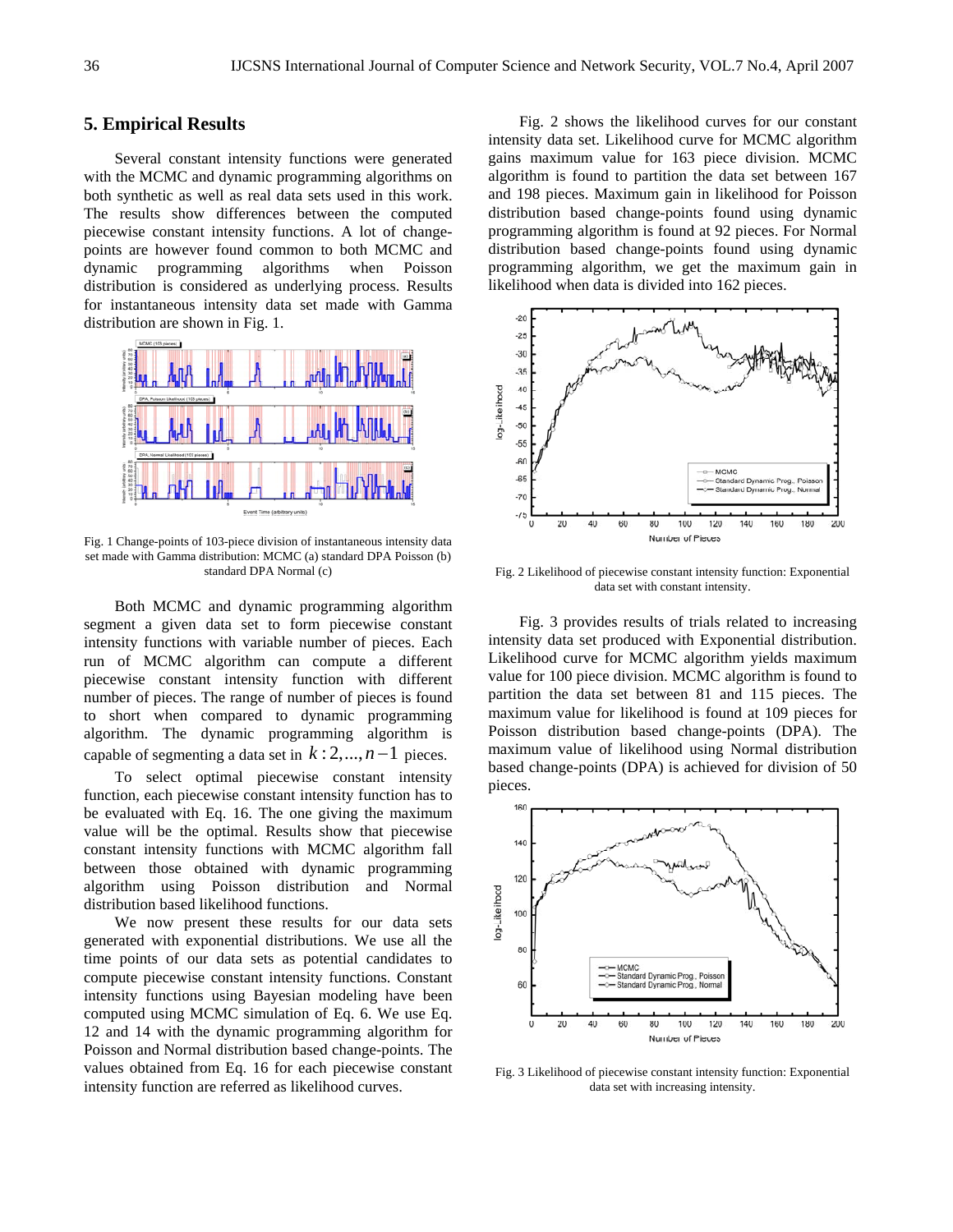## **5. Empirical Results**

Several constant intensity functions were generated with the MCMC and dynamic programming algorithms on both synthetic as well as real data sets used in this work. The results show differences between the computed piecewise constant intensity functions. A lot of changepoints are however found common to both MCMC and dynamic programming algorithms when Poisson distribution is considered as underlying process. Results for instantaneous intensity data set made with Gamma distribution are shown in Fig. 1.



Fig. 1 Change-points of 103-piece division of instantaneous intensity data set made with Gamma distribution: MCMC (a) standard DPA Poisson (b) standard DPA Normal (c)

Both MCMC and dynamic programming algorithm segment a given data set to form piecewise constant intensity functions with variable number of pieces. Each run of MCMC algorithm can compute a different piecewise constant intensity function with different number of pieces. The range of number of pieces is found to short when compared to dynamic programming algorithm. The dynamic programming algorithm is capable of segmenting a data set in  $k: 2, ..., n-1$  pieces.

To select optimal piecewise constant intensity function, each piecewise constant intensity function has to be evaluated with Eq. 16. The one giving the maximum value will be the optimal. Results show that piecewise constant intensity functions with MCMC algorithm fall between those obtained with dynamic programming algorithm using Poisson distribution and Normal distribution based likelihood functions.

We now present these results for our data sets generated with exponential distributions. We use all the time points of our data sets as potential candidates to compute piecewise constant intensity functions. Constant intensity functions using Bayesian modeling have been computed using MCMC simulation of Eq. 6. We use Eq. 12 and 14 with the dynamic programming algorithm for Poisson and Normal distribution based change-points. The values obtained from Eq. 16 for each piecewise constant intensity function are referred as likelihood curves.

Fig. 2 shows the likelihood curves for our constant intensity data set. Likelihood curve for MCMC algorithm gains maximum value for 163 piece division. MCMC algorithm is found to partition the data set between 167 and 198 pieces. Maximum gain in likelihood for Poisson distribution based change-points found using dynamic programming algorithm is found at 92 pieces. For Normal distribution based change-points found using dynamic programming algorithm, we get the maximum gain in likelihood when data is divided into 162 pieces.



Fig. 2 Likelihood of piecewise constant intensity function: Exponential data set with constant intensity.

Fig. 3 provides results of trials related to increasing intensity data set produced with Exponential distribution. Likelihood curve for MCMC algorithm yields maximum value for 100 piece division. MCMC algorithm is found to partition the data set between 81 and 115 pieces. The maximum value for likelihood is found at 109 pieces for Poisson distribution based change-points (DPA). The maximum value of likelihood using Normal distribution based change-points (DPA) is achieved for division of 50 pieces.



Fig. 3 Likelihood of piecewise constant intensity function: Exponential data set with increasing intensity.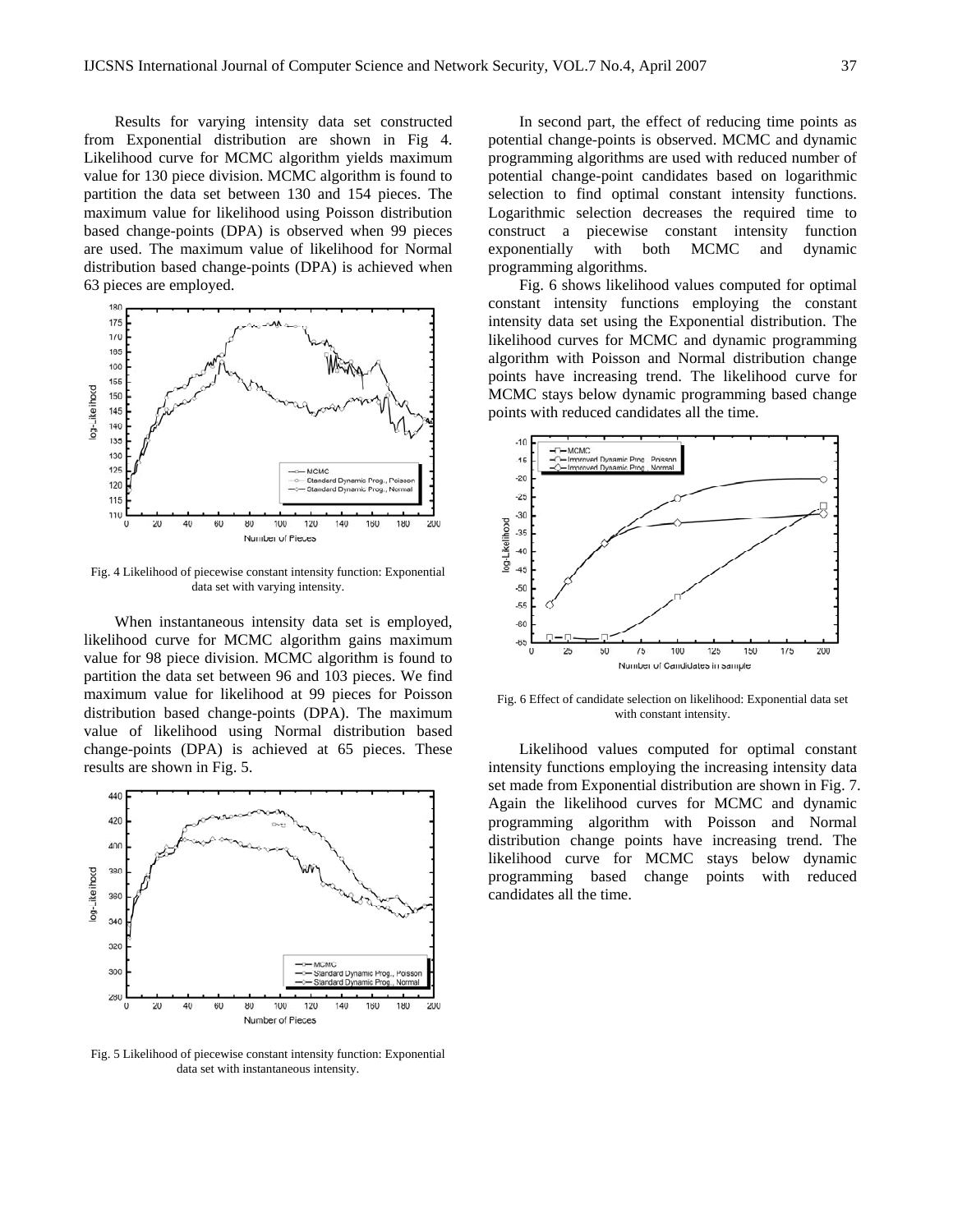Results for varying intensity data set constructed from Exponential distribution are shown in Fig 4. Likelihood curve for MCMC algorithm yields maximum value for 130 piece division. MCMC algorithm is found to partition the data set between 130 and 154 pieces. The maximum value for likelihood using Poisson distribution based change-points (DPA) is observed when 99 pieces are used. The maximum value of likelihood for Normal distribution based change-points (DPA) is achieved when 63 pieces are employed.



Fig. 4 Likelihood of piecewise constant intensity function: Exponential data set with varying intensity.

When instantaneous intensity data set is employed, likelihood curve for MCMC algorithm gains maximum value for 98 piece division. MCMC algorithm is found to partition the data set between 96 and 103 pieces. We find maximum value for likelihood at 99 pieces for Poisson distribution based change-points (DPA). The maximum value of likelihood using Normal distribution based change-points (DPA) is achieved at 65 pieces. These results are shown in Fig. 5.



Fig. 5 Likelihood of piecewise constant intensity function: Exponential data set with instantaneous intensity.

In second part, the effect of reducing time points as potential change-points is observed. MCMC and dynamic programming algorithms are used with reduced number of potential change-point candidates based on logarithmic selection to find optimal constant intensity functions. Logarithmic selection decreases the required time to construct a piecewise constant intensity function exponentially with both MCMC and dynamic programming algorithms.

Fig. 6 shows likelihood values computed for optimal constant intensity functions employing the constant intensity data set using the Exponential distribution. The likelihood curves for MCMC and dynamic programming algorithm with Poisson and Normal distribution change points have increasing trend. The likelihood curve for MCMC stays below dynamic programming based change points with reduced candidates all the time.



Fig. 6 Effect of candidate selection on likelihood: Exponential data set with constant intensity.

Likelihood values computed for optimal constant intensity functions employing the increasing intensity data set made from Exponential distribution are shown in Fig. 7. Again the likelihood curves for MCMC and dynamic programming algorithm with Poisson and Normal distribution change points have increasing trend. The likelihood curve for MCMC stays below dynamic programming based change points with reduced candidates all the time.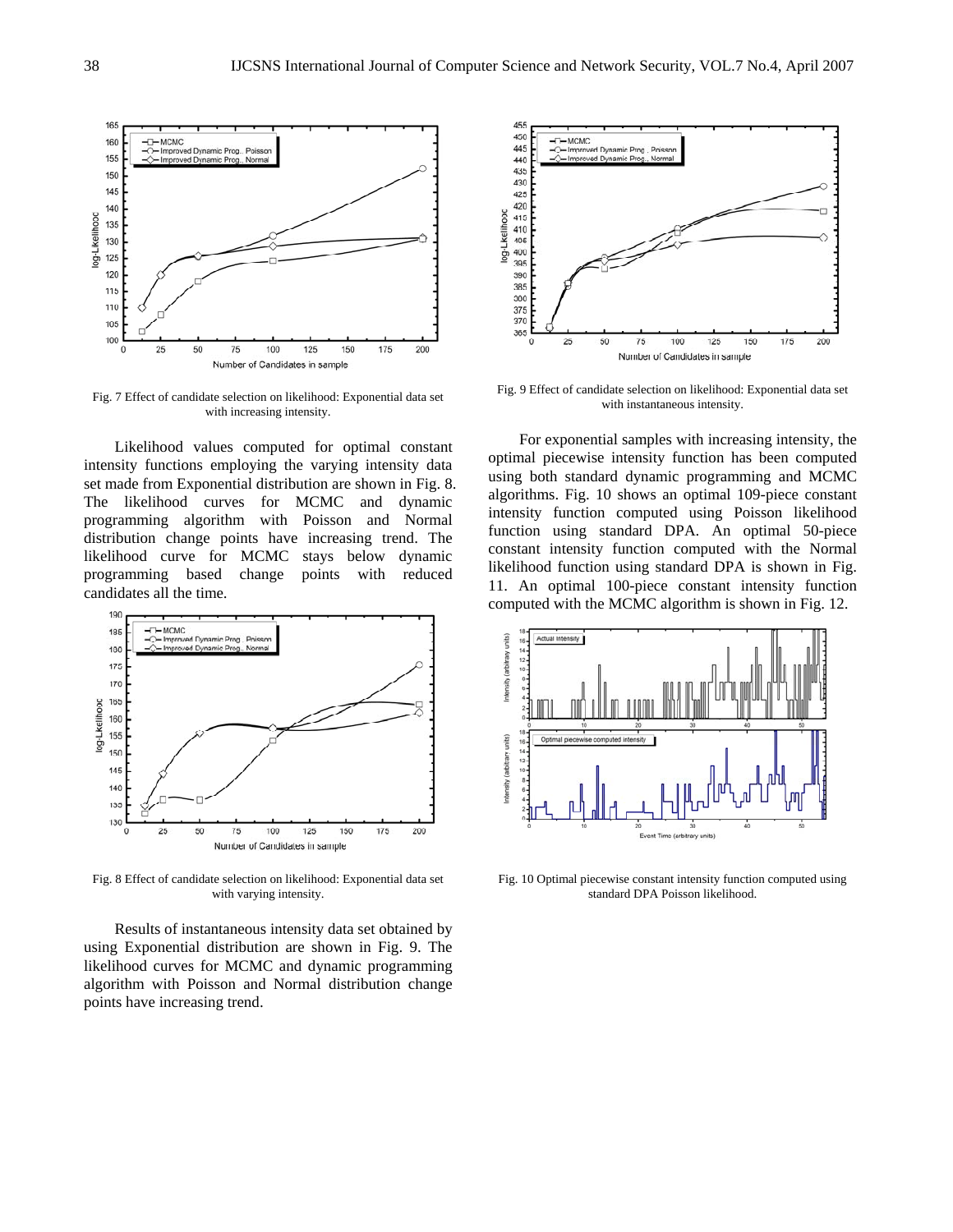

Fig. 7 Effect of candidate selection on likelihood: Exponential data set with increasing intensity.

Likelihood values computed for optimal constant intensity functions employing the varying intensity data set made from Exponential distribution are shown in Fig. 8. The likelihood curves for MCMC and dynamic programming algorithm with Poisson and Normal distribution change points have increasing trend. The likelihood curve for MCMC stays below dynamic programming based change points with reduced candidates all the time.



Fig. 8 Effect of candidate selection on likelihood: Exponential data set with varying intensity.

Results of instantaneous intensity data set obtained by using Exponential distribution are shown in Fig. 9. The likelihood curves for MCMC and dynamic programming algorithm with Poisson and Normal distribution change points have increasing trend.



Fig. 9 Effect of candidate selection on likelihood: Exponential data set with instantaneous intensity.

For exponential samples with increasing intensity, the optimal piecewise intensity function has been computed using both standard dynamic programming and MCMC algorithms. Fig. 10 shows an optimal 109-piece constant intensity function computed using Poisson likelihood function using standard DPA. An optimal 50-piece constant intensity function computed with the Normal likelihood function using standard DPA is shown in Fig. 11. An optimal 100-piece constant intensity function computed with the MCMC algorithm is shown in Fig. 12.



Fig. 10 Optimal piecewise constant intensity function computed using standard DPA Poisson likelihood.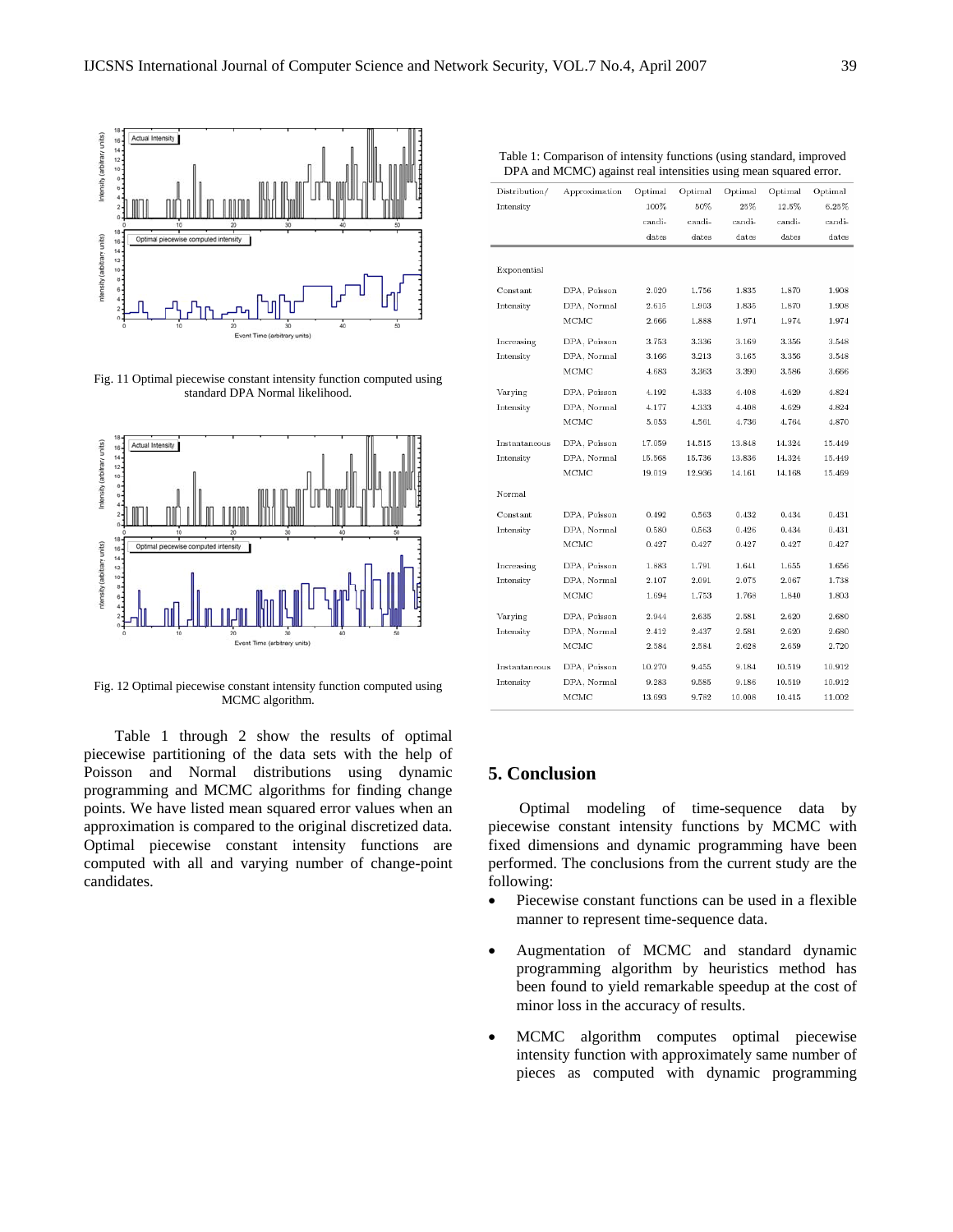

Fig. 11 Optimal piecewise constant intensity function computed using standard DPA Normal likelihood.



Fig. 12 Optimal piecewise constant intensity function computed using MCMC algorithm.

Table 1 through 2 show the results of optimal piecewise partitioning of the data sets with the help of Poisson and Normal distributions using dynamic programming and MCMC algorithms for finding change points. We have listed mean squared error values when an approximation is compared to the original discretized data. Optimal piecewise constant intensity functions are computed with all and varying number of change-point candidates.

| Distribution/<br>Approximation<br>Optimal<br>Optimal<br>Optimal<br>Optimal<br>Optimal<br>100%<br>50%<br>12.5%<br>Intensity<br>25%<br>$6.25\%$<br>candi-<br>candi-<br>candi-<br>candi-<br>candi-<br>dates<br>dates<br>dates<br>dates<br>dates<br>Exponential<br>Constant<br>DPA, Poisson<br>2.020<br>1.756<br>1.835<br>1.870<br>1.908<br>DPA, Normal<br>Intensity<br>2.615<br>1.903<br>1.835<br>1.870<br>1.908<br>МСМС<br>2.666<br>1.888<br>1.974<br>1.974<br>1.974<br>DPA, Poisson<br>3.336<br>3.169<br>3.356<br>3.548<br>Increasing<br>3.753<br>DPA, Normal<br>Intensity<br>3.166<br>3.213<br>3.165<br>3.356<br>3.548<br>МСМС<br>4.683<br>3.363<br>3.390<br>3.586<br>3.666<br>DPA, Poisson<br>4.192<br>4.333<br>4.408<br>4.629<br>4.824<br>Varying<br>DPA, Normal<br>Intensity<br>4.177<br>4.333<br>4.408<br>4.629<br>4.824<br>МСМС<br>5.053<br>4.561<br>4.736<br>4.764<br>4.870<br>DPA, Poisson<br>17.059<br>14.515<br>14.324<br>15.449<br>Instantaneous<br>13.848<br>DPA, Normal<br>Intensity<br>15.568<br>15.736<br>13.836<br>14.324<br>15.449<br>МСМС<br>14.161<br>14.168<br>15.469<br>19.019<br>12.936<br>Normal<br>Constant<br>DPA, Poisson<br>0.492<br>0.563<br>0.432<br>0.434<br>0.431<br>DPA, Normal<br>0.434<br>Intensity<br>0.580<br>0.563<br>0.426<br>0.431<br>MCMC<br>0.427<br>0.427<br>0.427<br>0.427<br>0.427<br>DPA, Poisson<br>1.883<br>1.791<br>1.641<br>1.655<br>1.656<br>Increasing<br>DPA, Normal<br>2.067<br>Intensity<br>2.107<br>2.091<br>2.075<br>1.738<br>МСМС<br>1.694<br>1.753<br>1.768<br>1.840<br>1.803<br>DPA, Poisson<br>2.944<br>2.635<br>2.581<br>2.620<br>2.680<br>Varying<br>DPA, Normal<br>Intensity<br>2.412<br>2.437<br>2.581<br>2.620<br>2.680<br>МСМС<br>2.584<br>2.584<br>2.720<br>2.628<br>2.659<br>Instantaneous<br>DPA, Poisson<br>10.270<br>9.455<br>9.184<br>10.519<br>10.912<br>DPA, Normal<br>9.283<br>9.585<br>10.519<br>10.912<br>Intensity<br>9.186<br>MCMC<br>13.693<br>9.782<br>10.008<br>10.415<br>11.002 | rable 1. Comparison of miensity functions (using standard, improved<br>DPA and MCMC) against real intensities using mean squared error. |  |  |  |  |  |  |  |  |  |
|-------------------------------------------------------------------------------------------------------------------------------------------------------------------------------------------------------------------------------------------------------------------------------------------------------------------------------------------------------------------------------------------------------------------------------------------------------------------------------------------------------------------------------------------------------------------------------------------------------------------------------------------------------------------------------------------------------------------------------------------------------------------------------------------------------------------------------------------------------------------------------------------------------------------------------------------------------------------------------------------------------------------------------------------------------------------------------------------------------------------------------------------------------------------------------------------------------------------------------------------------------------------------------------------------------------------------------------------------------------------------------------------------------------------------------------------------------------------------------------------------------------------------------------------------------------------------------------------------------------------------------------------------------------------------------------------------------------------------------------------------------------------------------------------------------------------------------------------------------------------------------------------------------------------------------------------------------------------|-----------------------------------------------------------------------------------------------------------------------------------------|--|--|--|--|--|--|--|--|--|
|                                                                                                                                                                                                                                                                                                                                                                                                                                                                                                                                                                                                                                                                                                                                                                                                                                                                                                                                                                                                                                                                                                                                                                                                                                                                                                                                                                                                                                                                                                                                                                                                                                                                                                                                                                                                                                                                                                                                                                   |                                                                                                                                         |  |  |  |  |  |  |  |  |  |
|                                                                                                                                                                                                                                                                                                                                                                                                                                                                                                                                                                                                                                                                                                                                                                                                                                                                                                                                                                                                                                                                                                                                                                                                                                                                                                                                                                                                                                                                                                                                                                                                                                                                                                                                                                                                                                                                                                                                                                   |                                                                                                                                         |  |  |  |  |  |  |  |  |  |
|                                                                                                                                                                                                                                                                                                                                                                                                                                                                                                                                                                                                                                                                                                                                                                                                                                                                                                                                                                                                                                                                                                                                                                                                                                                                                                                                                                                                                                                                                                                                                                                                                                                                                                                                                                                                                                                                                                                                                                   |                                                                                                                                         |  |  |  |  |  |  |  |  |  |
|                                                                                                                                                                                                                                                                                                                                                                                                                                                                                                                                                                                                                                                                                                                                                                                                                                                                                                                                                                                                                                                                                                                                                                                                                                                                                                                                                                                                                                                                                                                                                                                                                                                                                                                                                                                                                                                                                                                                                                   |                                                                                                                                         |  |  |  |  |  |  |  |  |  |
|                                                                                                                                                                                                                                                                                                                                                                                                                                                                                                                                                                                                                                                                                                                                                                                                                                                                                                                                                                                                                                                                                                                                                                                                                                                                                                                                                                                                                                                                                                                                                                                                                                                                                                                                                                                                                                                                                                                                                                   |                                                                                                                                         |  |  |  |  |  |  |  |  |  |
|                                                                                                                                                                                                                                                                                                                                                                                                                                                                                                                                                                                                                                                                                                                                                                                                                                                                                                                                                                                                                                                                                                                                                                                                                                                                                                                                                                                                                                                                                                                                                                                                                                                                                                                                                                                                                                                                                                                                                                   |                                                                                                                                         |  |  |  |  |  |  |  |  |  |
|                                                                                                                                                                                                                                                                                                                                                                                                                                                                                                                                                                                                                                                                                                                                                                                                                                                                                                                                                                                                                                                                                                                                                                                                                                                                                                                                                                                                                                                                                                                                                                                                                                                                                                                                                                                                                                                                                                                                                                   |                                                                                                                                         |  |  |  |  |  |  |  |  |  |
|                                                                                                                                                                                                                                                                                                                                                                                                                                                                                                                                                                                                                                                                                                                                                                                                                                                                                                                                                                                                                                                                                                                                                                                                                                                                                                                                                                                                                                                                                                                                                                                                                                                                                                                                                                                                                                                                                                                                                                   |                                                                                                                                         |  |  |  |  |  |  |  |  |  |
|                                                                                                                                                                                                                                                                                                                                                                                                                                                                                                                                                                                                                                                                                                                                                                                                                                                                                                                                                                                                                                                                                                                                                                                                                                                                                                                                                                                                                                                                                                                                                                                                                                                                                                                                                                                                                                                                                                                                                                   |                                                                                                                                         |  |  |  |  |  |  |  |  |  |
|                                                                                                                                                                                                                                                                                                                                                                                                                                                                                                                                                                                                                                                                                                                                                                                                                                                                                                                                                                                                                                                                                                                                                                                                                                                                                                                                                                                                                                                                                                                                                                                                                                                                                                                                                                                                                                                                                                                                                                   |                                                                                                                                         |  |  |  |  |  |  |  |  |  |
|                                                                                                                                                                                                                                                                                                                                                                                                                                                                                                                                                                                                                                                                                                                                                                                                                                                                                                                                                                                                                                                                                                                                                                                                                                                                                                                                                                                                                                                                                                                                                                                                                                                                                                                                                                                                                                                                                                                                                                   |                                                                                                                                         |  |  |  |  |  |  |  |  |  |
|                                                                                                                                                                                                                                                                                                                                                                                                                                                                                                                                                                                                                                                                                                                                                                                                                                                                                                                                                                                                                                                                                                                                                                                                                                                                                                                                                                                                                                                                                                                                                                                                                                                                                                                                                                                                                                                                                                                                                                   |                                                                                                                                         |  |  |  |  |  |  |  |  |  |
|                                                                                                                                                                                                                                                                                                                                                                                                                                                                                                                                                                                                                                                                                                                                                                                                                                                                                                                                                                                                                                                                                                                                                                                                                                                                                                                                                                                                                                                                                                                                                                                                                                                                                                                                                                                                                                                                                                                                                                   |                                                                                                                                         |  |  |  |  |  |  |  |  |  |
|                                                                                                                                                                                                                                                                                                                                                                                                                                                                                                                                                                                                                                                                                                                                                                                                                                                                                                                                                                                                                                                                                                                                                                                                                                                                                                                                                                                                                                                                                                                                                                                                                                                                                                                                                                                                                                                                                                                                                                   |                                                                                                                                         |  |  |  |  |  |  |  |  |  |
|                                                                                                                                                                                                                                                                                                                                                                                                                                                                                                                                                                                                                                                                                                                                                                                                                                                                                                                                                                                                                                                                                                                                                                                                                                                                                                                                                                                                                                                                                                                                                                                                                                                                                                                                                                                                                                                                                                                                                                   |                                                                                                                                         |  |  |  |  |  |  |  |  |  |
|                                                                                                                                                                                                                                                                                                                                                                                                                                                                                                                                                                                                                                                                                                                                                                                                                                                                                                                                                                                                                                                                                                                                                                                                                                                                                                                                                                                                                                                                                                                                                                                                                                                                                                                                                                                                                                                                                                                                                                   |                                                                                                                                         |  |  |  |  |  |  |  |  |  |
|                                                                                                                                                                                                                                                                                                                                                                                                                                                                                                                                                                                                                                                                                                                                                                                                                                                                                                                                                                                                                                                                                                                                                                                                                                                                                                                                                                                                                                                                                                                                                                                                                                                                                                                                                                                                                                                                                                                                                                   |                                                                                                                                         |  |  |  |  |  |  |  |  |  |
|                                                                                                                                                                                                                                                                                                                                                                                                                                                                                                                                                                                                                                                                                                                                                                                                                                                                                                                                                                                                                                                                                                                                                                                                                                                                                                                                                                                                                                                                                                                                                                                                                                                                                                                                                                                                                                                                                                                                                                   |                                                                                                                                         |  |  |  |  |  |  |  |  |  |
|                                                                                                                                                                                                                                                                                                                                                                                                                                                                                                                                                                                                                                                                                                                                                                                                                                                                                                                                                                                                                                                                                                                                                                                                                                                                                                                                                                                                                                                                                                                                                                                                                                                                                                                                                                                                                                                                                                                                                                   |                                                                                                                                         |  |  |  |  |  |  |  |  |  |
|                                                                                                                                                                                                                                                                                                                                                                                                                                                                                                                                                                                                                                                                                                                                                                                                                                                                                                                                                                                                                                                                                                                                                                                                                                                                                                                                                                                                                                                                                                                                                                                                                                                                                                                                                                                                                                                                                                                                                                   |                                                                                                                                         |  |  |  |  |  |  |  |  |  |
|                                                                                                                                                                                                                                                                                                                                                                                                                                                                                                                                                                                                                                                                                                                                                                                                                                                                                                                                                                                                                                                                                                                                                                                                                                                                                                                                                                                                                                                                                                                                                                                                                                                                                                                                                                                                                                                                                                                                                                   |                                                                                                                                         |  |  |  |  |  |  |  |  |  |
|                                                                                                                                                                                                                                                                                                                                                                                                                                                                                                                                                                                                                                                                                                                                                                                                                                                                                                                                                                                                                                                                                                                                                                                                                                                                                                                                                                                                                                                                                                                                                                                                                                                                                                                                                                                                                                                                                                                                                                   |                                                                                                                                         |  |  |  |  |  |  |  |  |  |
|                                                                                                                                                                                                                                                                                                                                                                                                                                                                                                                                                                                                                                                                                                                                                                                                                                                                                                                                                                                                                                                                                                                                                                                                                                                                                                                                                                                                                                                                                                                                                                                                                                                                                                                                                                                                                                                                                                                                                                   |                                                                                                                                         |  |  |  |  |  |  |  |  |  |
|                                                                                                                                                                                                                                                                                                                                                                                                                                                                                                                                                                                                                                                                                                                                                                                                                                                                                                                                                                                                                                                                                                                                                                                                                                                                                                                                                                                                                                                                                                                                                                                                                                                                                                                                                                                                                                                                                                                                                                   |                                                                                                                                         |  |  |  |  |  |  |  |  |  |
|                                                                                                                                                                                                                                                                                                                                                                                                                                                                                                                                                                                                                                                                                                                                                                                                                                                                                                                                                                                                                                                                                                                                                                                                                                                                                                                                                                                                                                                                                                                                                                                                                                                                                                                                                                                                                                                                                                                                                                   |                                                                                                                                         |  |  |  |  |  |  |  |  |  |
|                                                                                                                                                                                                                                                                                                                                                                                                                                                                                                                                                                                                                                                                                                                                                                                                                                                                                                                                                                                                                                                                                                                                                                                                                                                                                                                                                                                                                                                                                                                                                                                                                                                                                                                                                                                                                                                                                                                                                                   |                                                                                                                                         |  |  |  |  |  |  |  |  |  |
|                                                                                                                                                                                                                                                                                                                                                                                                                                                                                                                                                                                                                                                                                                                                                                                                                                                                                                                                                                                                                                                                                                                                                                                                                                                                                                                                                                                                                                                                                                                                                                                                                                                                                                                                                                                                                                                                                                                                                                   |                                                                                                                                         |  |  |  |  |  |  |  |  |  |
|                                                                                                                                                                                                                                                                                                                                                                                                                                                                                                                                                                                                                                                                                                                                                                                                                                                                                                                                                                                                                                                                                                                                                                                                                                                                                                                                                                                                                                                                                                                                                                                                                                                                                                                                                                                                                                                                                                                                                                   |                                                                                                                                         |  |  |  |  |  |  |  |  |  |
|                                                                                                                                                                                                                                                                                                                                                                                                                                                                                                                                                                                                                                                                                                                                                                                                                                                                                                                                                                                                                                                                                                                                                                                                                                                                                                                                                                                                                                                                                                                                                                                                                                                                                                                                                                                                                                                                                                                                                                   |                                                                                                                                         |  |  |  |  |  |  |  |  |  |
|                                                                                                                                                                                                                                                                                                                                                                                                                                                                                                                                                                                                                                                                                                                                                                                                                                                                                                                                                                                                                                                                                                                                                                                                                                                                                                                                                                                                                                                                                                                                                                                                                                                                                                                                                                                                                                                                                                                                                                   |                                                                                                                                         |  |  |  |  |  |  |  |  |  |
|                                                                                                                                                                                                                                                                                                                                                                                                                                                                                                                                                                                                                                                                                                                                                                                                                                                                                                                                                                                                                                                                                                                                                                                                                                                                                                                                                                                                                                                                                                                                                                                                                                                                                                                                                                                                                                                                                                                                                                   |                                                                                                                                         |  |  |  |  |  |  |  |  |  |

# **5. Conclusion**

Optimal modeling of time-sequence data by piecewise constant intensity functions by MCMC with fixed dimensions and dynamic programming have been performed. The conclusions from the current study are the following:

- Piecewise constant functions can be used in a flexible manner to represent time-sequence data.
- Augmentation of MCMC and standard dynamic programming algorithm by heuristics method has been found to yield remarkable speedup at the cost of minor loss in the accuracy of results.
- MCMC algorithm computes optimal piecewise intensity function with approximately same number of pieces as computed with dynamic programming

Table 1: Comparison of intensity functions (using standard, improved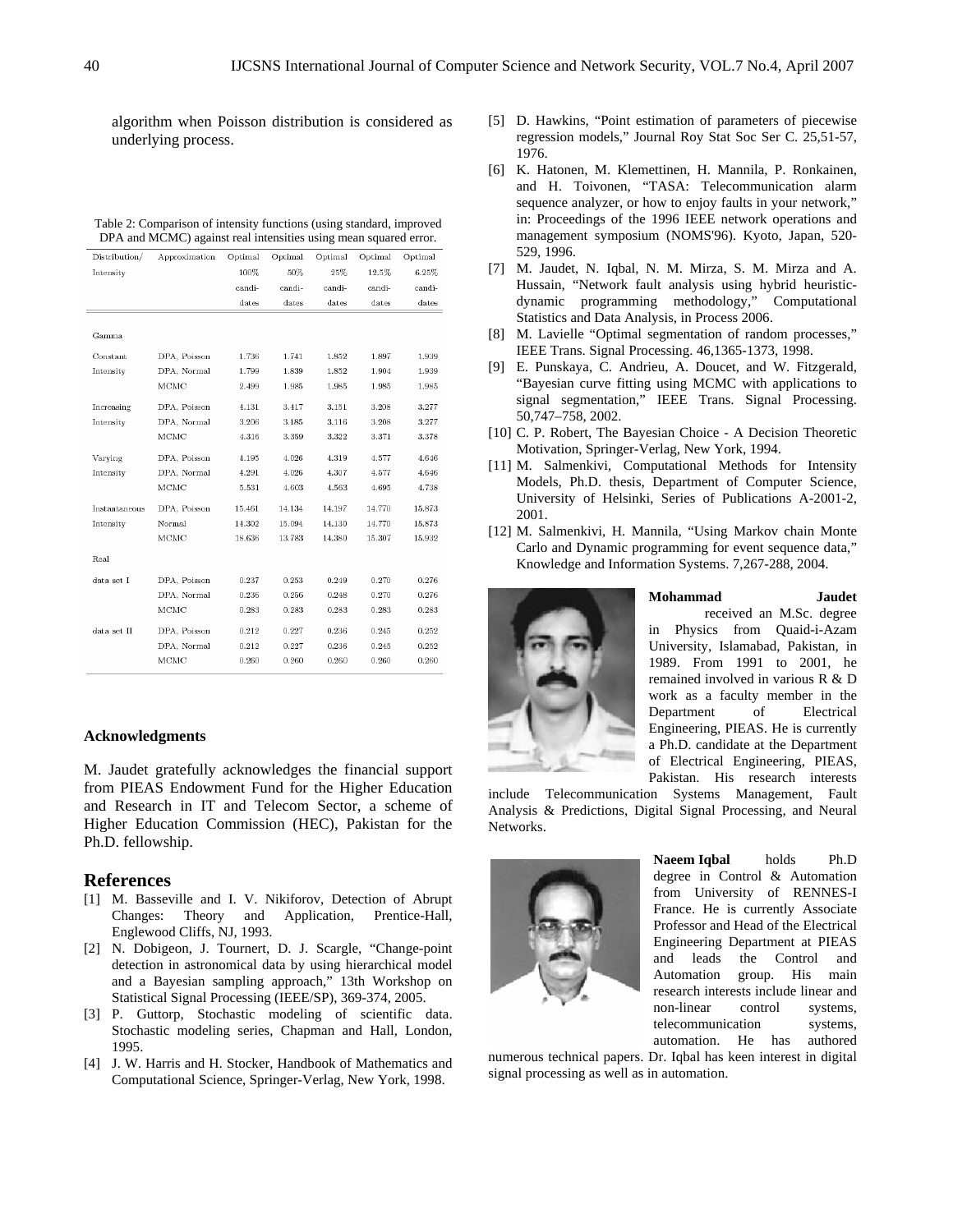algorithm when Poisson distribution is considered as underlying process.

| Distribution/ | Approximation | Optimal | Optimal | Optimal | Optimal | Optimal |
|---------------|---------------|---------|---------|---------|---------|---------|
| Intensity     |               | 100%    | 50%     | 25%     | 12.5%   | 6.25%   |
|               |               | candi-  | candi-  | candi-  | candi-  | candi-  |
|               |               | dates   | dates   | dates   | dates   | dates   |
|               |               |         |         |         |         |         |
| Gamma         |               |         |         |         |         |         |
| Constant      | DPA, Poisson  | 1.736   | 1.741   | 1.852   | 1.897   | 1.939   |
| Intensity     | DPA, Normal   | 1.799   | 1.839   | 1.852   | 1.904   | 1.939   |
|               | MCMC          | 2.499   | 1.985   | 1.985   | 1.985   | 1.985   |
| Increasing    | DPA, Poisson  | 4.131   | 3.417   | 3.151   | 3.208   | 3.277   |
| Intensity     | DPA, Normal   | 3.206   | 3.185   | 3.116   | 3.208   | 3.277   |
|               | MCMC          | 4.316   | 3.359   | 3.322   | 3.371   | 3.378   |
| Varying       | DPA, Poisson  | 4.195   | 4.026   | 4.319   | 4.577   | 4.646   |
| Intensity     | DPA, Normal   | 4.291   | 4.026   | 4.307   | 4.577   | 4.646   |
|               | MCMC          | 5.531   | 4.603   | 4.563   | 4.695   | 4.738   |
| Instantaneous | DPA, Poisson  | 15.461  | 14.134  | 14.197  | 14.770  | 15.873  |
| Intensity     | Normal        | 14.302  | 15.094  | 14.130  | 14.770  | 15.873  |
|               | MCMC          | 18.636  | 13.783  | 14.380  | 15.307  | 15.932  |
| Real          |               |         |         |         |         |         |
| data set I    | DPA, Poisson  | 0.237   | 0.253   | 0.249   | 0.270   | 0.276   |
|               | DPA, Normal   | 0.236   | 0.256   | 0.248   | 0.270   | 0.276   |
|               | MCMC          | 0.283   | 0.283   | 0.283   | 0.283   | 0.283   |
| data set II   | DPA, Poisson  | 0.212   | 0.227   | 0.236   | 0.245   | 0.252   |
|               | DPA, Normal   | 0.212   | 0.227   | 0.236   | 0.245   | 0.252   |
|               | MCMC          | 0.260   | 0.260   | 0.260   | 0.260   | 0.260   |

#### Table 2: Comparison of intensity functions (using standard, improved DPA and MCMC) against real intensities using mean squared error.

## **Acknowledgments**

M. Jaudet gratefully acknowledges the financial support from PIEAS Endowment Fund for the Higher Education and Research in IT and Telecom Sector, a scheme of Higher Education Commission (HEC), Pakistan for the Ph.D. fellowship.

#### **References**

- [1] M. Basseville and I. V. Nikiforov, Detection of Abrupt Changes: Theory and Application, Prentice-Hall, Englewood Cliffs, NJ, 1993.
- [2] N. Dobigeon, J. Tournert, D. J. Scargle, "Change-point detection in astronomical data by using hierarchical model and a Bayesian sampling approach," 13th Workshop on Statistical Signal Processing (IEEE/SP), 369-374, 2005.
- [3] P. Guttorp, Stochastic modeling of scientific data. Stochastic modeling series, Chapman and Hall, London, 1995.
- [4] J. W. Harris and H. Stocker, Handbook of Mathematics and Computational Science, Springer-Verlag, New York, 1998.
- [5] D. Hawkins, "Point estimation of parameters of piecewise regression models," Journal Roy Stat Soc Ser C. 25,51-57, 1976.
- [6] K. Hatonen, M. Klemettinen, H. Mannila, P. Ronkainen, and H. Toivonen, "TASA: Telecommunication alarm sequence analyzer, or how to enjoy faults in your network," in: Proceedings of the 1996 IEEE network operations and management symposium (NOMS'96). Kyoto, Japan, 520- 529, 1996.
- [7] M. Jaudet, N. Iqbal, N. M. Mirza, S. M. Mirza and A. Hussain, "Network fault analysis using hybrid heuristicdynamic programming methodology," Computational Statistics and Data Analysis, in Process 2006.
- [8] M. Lavielle "Optimal segmentation of random processes," IEEE Trans. Signal Processing. 46,1365-1373, 1998.
- [9] E. Punskaya, C. Andrieu, A. Doucet, and W. Fitzgerald, "Bayesian curve fitting using MCMC with applications to signal segmentation," IEEE Trans. Signal Processing. 50,747–758, 2002.
- [10] C. P. Robert, The Bayesian Choice A Decision Theoretic Motivation, Springer-Verlag, New York, 1994.
- [11] M. Salmenkivi, Computational Methods for Intensity Models, Ph.D. thesis, Department of Computer Science, University of Helsinki, Series of Publications A-2001-2, 2001.
- [12] M. Salmenkivi, H. Mannila, "Using Markov chain Monte Carlo and Dynamic programming for event sequence data," Knowledge and Information Systems. 7,267-288, 2004.



**Mohammad Jaudet** received an M.Sc. degree in Physics from Quaid-i-Azam University, Islamabad, Pakistan, in 1989. From 1991 to 2001, he remained involved in various R & D work as a faculty member in the Department of Electrical Engineering, PIEAS. He is currently a Ph.D. candidate at the Department of Electrical Engineering, PIEAS,

Pakistan. His research interests

include Telecommunication Systems Management, Fault Analysis & Predictions, Digital Signal Processing, and Neural Networks.



**Naeem Iqbal** holds Ph.D degree in Control & Automation from University of RENNES-I France. He is currently Associate Professor and Head of the Electrical Engineering Department at PIEAS and leads the Control and Automation group. His main research interests include linear and non-linear control systems, telecommunication systems, automation. He has authored

numerous technical papers. Dr. Iqbal has keen interest in digital signal processing as well as in automation.